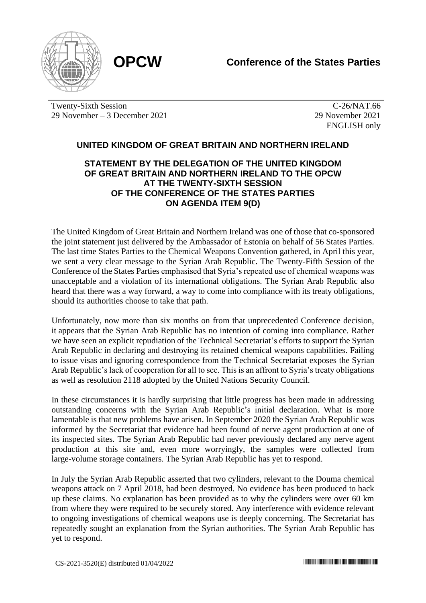

Twenty-Sixth Session 29 November – 3 December 2021

C-26/NAT.66 29 November 2021 ENGLISH only

## **UNITED KINGDOM OF GREAT BRITAIN AND NORTHERN IRELAND**

## **STATEMENT BY THE DELEGATION OF THE UNITED KINGDOM OF GREAT BRITAIN AND NORTHERN IRELAND TO THE OPCW AT THE TWENTY-SIXTH SESSION OF THE CONFERENCE OF THE STATES PARTIES ON AGENDA ITEM 9(D)**

The United Kingdom of Great Britain and Northern Ireland was one of those that co-sponsored the joint statement just delivered by the Ambassador of Estonia on behalf of 56 States Parties. The last time States Parties to the Chemical Weapons Convention gathered, in April this year, we sent a very clear message to the Syrian Arab Republic. The Twenty-Fifth Session of the Conference of the States Parties emphasised that Syria's repeated use of chemical weapons was unacceptable and a violation of its international obligations. The Syrian Arab Republic also heard that there was a way forward, a way to come into compliance with its treaty obligations, should its authorities choose to take that path.

Unfortunately, now more than six months on from that unprecedented Conference decision, it appears that the Syrian Arab Republic has no intention of coming into compliance. Rather we have seen an explicit repudiation of the Technical Secretariat's efforts to support the Syrian Arab Republic in declaring and destroying its retained chemical weapons capabilities. Failing to issue visas and ignoring correspondence from the Technical Secretariat exposes the Syrian Arab Republic's lack of cooperation for all to see. This is an affront to Syria's treaty obligations as well as resolution 2118 adopted by the United Nations Security Council.

In these circumstances it is hardly surprising that little progress has been made in addressing outstanding concerns with the Syrian Arab Republic's initial declaration. What is more lamentable is that new problems have arisen. In September 2020 the Syrian Arab Republic was informed by the Secretariat that evidence had been found of nerve agent production at one of its inspected sites. The Syrian Arab Republic had never previously declared any nerve agent production at this site and, even more worryingly, the samples were collected from large-volume storage containers. The Syrian Arab Republic has yet to respond.

In July the Syrian Arab Republic asserted that two cylinders, relevant to the Douma chemical weapons attack on 7 April 2018, had been destroyed. No evidence has been produced to back up these claims. No explanation has been provided as to why the cylinders were over 60 km from where they were required to be securely stored. Any interference with evidence relevant to ongoing investigations of chemical weapons use is deeply concerning. The Secretariat has repeatedly sought an explanation from the Syrian authorities. The Syrian Arab Republic has yet to respond.